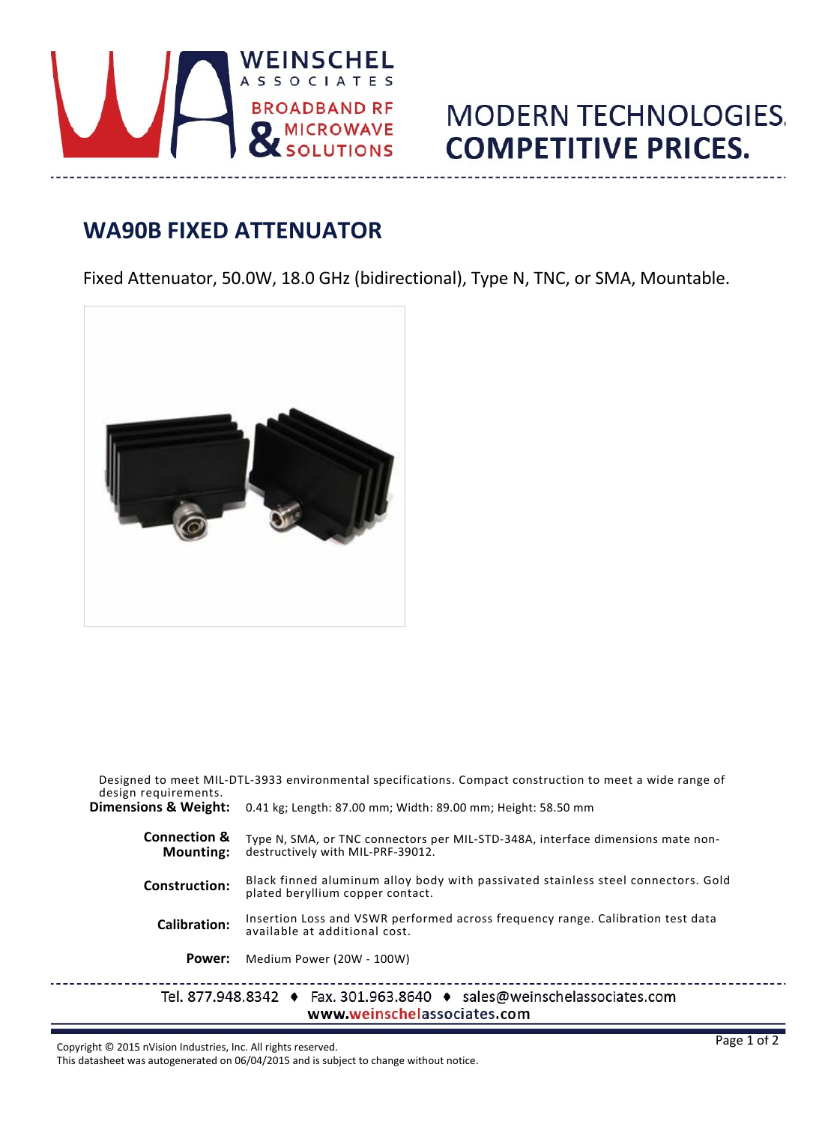

## **MODERN TECHNOLOGIES. COMPETITIVE PRICES.**

## **WA90B FIXED ATTENUATOR**

Fixed Attenuator, 50.0W, 18.0 GHz (bidirectional), Type N, TNC, or SMA, Mountable.



| design requirements.                        | Designed to meet MIL-DTL-3933 environmental specifications. Compact construction to meet a wide range of              |  |  |  |  |  |  |
|---------------------------------------------|-----------------------------------------------------------------------------------------------------------------------|--|--|--|--|--|--|
| Dimensions & Weight:                        | 0.41 kg; Length: 87.00 mm; Width: 89.00 mm; Height: 58.50 mm                                                          |  |  |  |  |  |  |
| <b>Connection &amp;</b><br><b>Mounting:</b> | Type N, SMA, or TNC connectors per MIL-STD-348A, interface dimensions mate non-<br>destructively with MIL-PRF-39012.  |  |  |  |  |  |  |
| <b>Construction:</b>                        | Black finned aluminum alloy body with passivated stainless steel connectors. Gold<br>plated beryllium copper contact. |  |  |  |  |  |  |
| Calibration:                                | Insertion Loss and VSWR performed across frequency range. Calibration test data<br>available at additional cost.      |  |  |  |  |  |  |
| Power:                                      | Medium Power (20W - 100W)                                                                                             |  |  |  |  |  |  |
|                                             | Tel. 877.948.8342 ♦ Fax. 301.963.8640 ♦ sales@weinschelassociates.com<br>www.weinschelassociates.com                  |  |  |  |  |  |  |

Copyright © 2015 nVision Industries, Inc. All rights reserved.

 $\frac{1}{2}$ 

This datasheet was autogenerated on 06/04/2015 and is subject to change without notice.